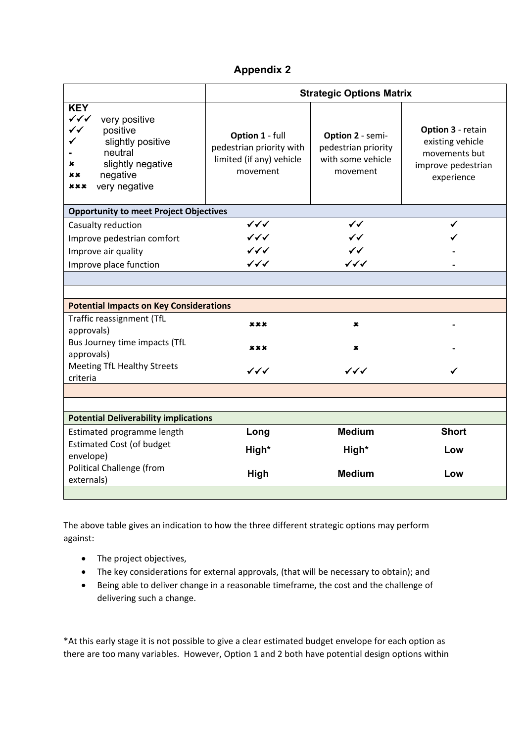## **Appendix 2**

|                                                                                                                                                                                       | <b>Strategic Options Matrix</b>                                                     |                                                                          |                                                                                            |
|---------------------------------------------------------------------------------------------------------------------------------------------------------------------------------------|-------------------------------------------------------------------------------------|--------------------------------------------------------------------------|--------------------------------------------------------------------------------------------|
| <b>KEY</b><br>$\checkmark\checkmark$<br>very positive<br>$\checkmark$<br>positive<br>slightly positive<br>neutral<br>slightly negative<br>x<br>negative<br>××<br>very negative<br>xxx | Option 1 - full<br>pedestrian priority with<br>limited (if any) vehicle<br>movement | Option 2 - semi-<br>pedestrian priority<br>with some vehicle<br>movement | Option 3 - retain<br>existing vehicle<br>movements but<br>improve pedestrian<br>experience |
| <b>Opportunity to meet Project Objectives</b>                                                                                                                                         |                                                                                     |                                                                          |                                                                                            |
| Casualty reduction                                                                                                                                                                    | $\checkmark\checkmark$                                                              | $\checkmark$                                                             |                                                                                            |
| Improve pedestrian comfort                                                                                                                                                            | $\checkmark\checkmark$                                                              | $\checkmark$                                                             |                                                                                            |
| Improve air quality                                                                                                                                                                   | $\checkmark\checkmark$                                                              | $\checkmark$                                                             |                                                                                            |
| Improve place function                                                                                                                                                                | $\checkmark\checkmark\checkmark$                                                    | $\checkmark\checkmark$                                                   |                                                                                            |
|                                                                                                                                                                                       |                                                                                     |                                                                          |                                                                                            |
|                                                                                                                                                                                       |                                                                                     |                                                                          |                                                                                            |
| <b>Potential Impacts on Key Considerations</b>                                                                                                                                        |                                                                                     |                                                                          |                                                                                            |
| Traffic reassignment (TfL<br>approvals)                                                                                                                                               | xxx                                                                                 | ×                                                                        |                                                                                            |
| Bus Journey time impacts (TfL<br>approvals)                                                                                                                                           | xxx                                                                                 | ×                                                                        |                                                                                            |
| <b>Meeting TfL Healthy Streets</b><br>criteria                                                                                                                                        | $\checkmark\checkmark\checkmark$                                                    | $\checkmark\checkmark\checkmark$                                         |                                                                                            |
|                                                                                                                                                                                       |                                                                                     |                                                                          |                                                                                            |
|                                                                                                                                                                                       |                                                                                     |                                                                          |                                                                                            |
| <b>Potential Deliverability implications</b>                                                                                                                                          |                                                                                     |                                                                          |                                                                                            |
| Estimated programme length                                                                                                                                                            | Long                                                                                | <b>Medium</b>                                                            | <b>Short</b>                                                                               |
| <b>Estimated Cost (of budget</b><br>envelope)                                                                                                                                         | High*                                                                               | High*                                                                    | Low                                                                                        |
| Political Challenge (from<br>externals)                                                                                                                                               | High                                                                                | <b>Medium</b>                                                            | Low                                                                                        |
|                                                                                                                                                                                       |                                                                                     |                                                                          |                                                                                            |

The above table gives an indication to how the three different strategic options may perform against:

- The project objectives,
- The key considerations for external approvals, (that will be necessary to obtain); and
- Being able to deliver change in a reasonable timeframe, the cost and the challenge of delivering such a change.

\*At this early stage it is not possible to give a clear estimated budget envelope for each option as there are too many variables. However, Option 1 and 2 both have potential design options within